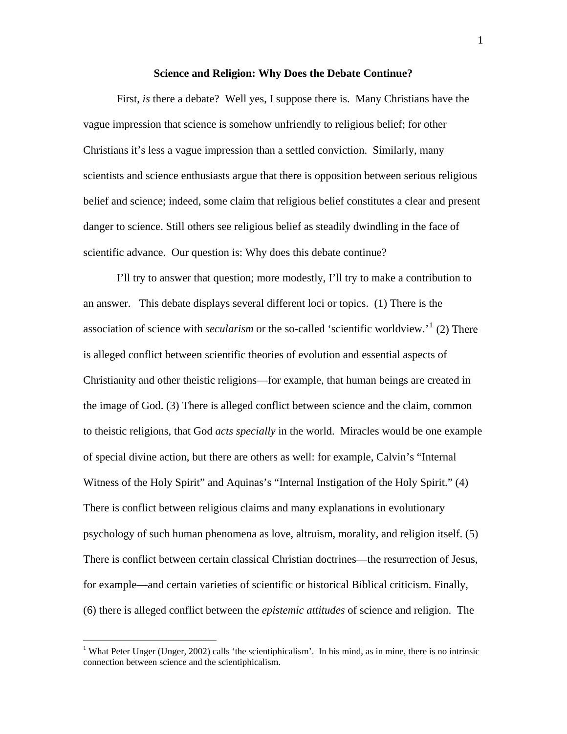#### **Science and Religion: Why Does the Debate Continue?**

 First, *is* there a debate? Well yes, I suppose there is. Many Christians have the vague impression that science is somehow unfriendly to religious belief; for other Christians it's less a vague impression than a settled conviction. Similarly, many scientists and science enthusiasts argue that there is opposition between serious religious belief and science; indeed, some claim that religious belief constitutes a clear and present danger to science. Still others see religious belief as steadily dwindling in the face of scientific advance. Our question is: Why does this debate continue?

 I'll try to answer that question; more modestly, I'll try to make a contribution to an answer. This debate displays several different loci or topics. (1) There is the association of science with *secularism* or the so-called 'scientific worldview.<sup>[1](#page-0-0)</sup> (2) There is alleged conflict between scientific theories of evolution and essential aspects of Christianity and other theistic religions—for example, that human beings are created in the image of God. (3) There is alleged conflict between science and the claim, common to theistic religions, that God *acts specially* in the world. Miracles would be one example of special divine action, but there are others as well: for example, Calvin's "Internal Witness of the Holy Spirit" and Aquinas's "Internal Instigation of the Holy Spirit." (4) There is conflict between religious claims and many explanations in evolutionary psychology of such human phenomena as love, altruism, morality, and religion itself. (5) There is conflict between certain classical Christian doctrines—the resurrection of Jesus, for example—and certain varieties of scientific or historical Biblical criticism. Finally, (6) there is alleged conflict between the *epistemic attitudes* of science and religion. The

<span id="page-0-0"></span><sup>&</sup>lt;sup>1</sup> What Peter Unger (Unger, 2002) calls 'the scientiphicalism'. In his mind, as in mine, there is no intrinsic connection between science and the scientiphicalism.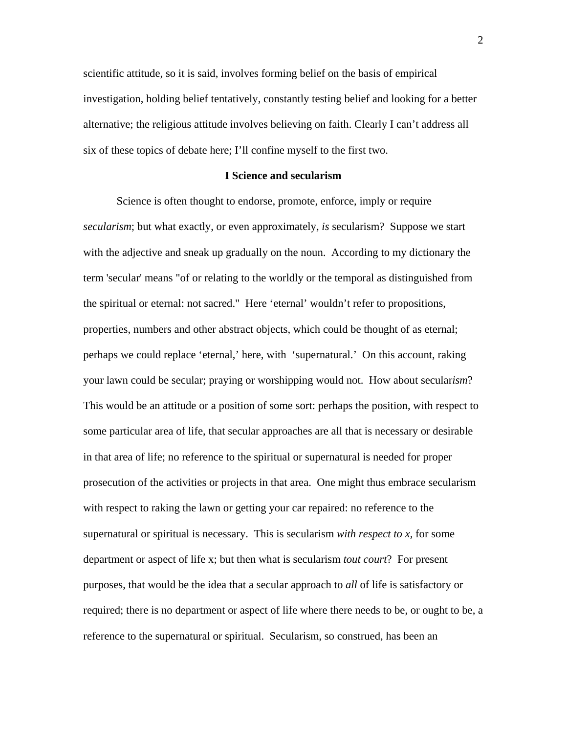scientific attitude, so it is said, involves forming belief on the basis of empirical investigation, holding belief tentatively, constantly testing belief and looking for a better alternative; the religious attitude involves believing on faith. Clearly I can't address all six of these topics of debate here; I'll confine myself to the first two.

### **I Science and secularism**

 Science is often thought to endorse, promote, enforce, imply or require *secularism*; but what exactly, or even approximately, *is* secularism? Suppose we start with the adjective and sneak up gradually on the noun. According to my dictionary the term 'secular' means "of or relating to the worldly or the temporal as distinguished from the spiritual or eternal: not sacred." Here 'eternal' wouldn't refer to propositions, properties, numbers and other abstract objects, which could be thought of as eternal; perhaps we could replace 'eternal,' here, with 'supernatural.' On this account, raking your lawn could be secular; praying or worshipping would not. How about secular*ism*? This would be an attitude or a position of some sort: perhaps the position, with respect to some particular area of life, that secular approaches are all that is necessary or desirable in that area of life; no reference to the spiritual or supernatural is needed for proper prosecution of the activities or projects in that area. One might thus embrace secularism with respect to raking the lawn or getting your car repaired: no reference to the supernatural or spiritual is necessary. This is secularism *with respect to x,* for some department or aspect of life x; but then what is secularism *tout court*? For present purposes, that would be the idea that a secular approach to *all* of life is satisfactory or required; there is no department or aspect of life where there needs to be, or ought to be, a reference to the supernatural or spiritual. Secularism, so construed, has been an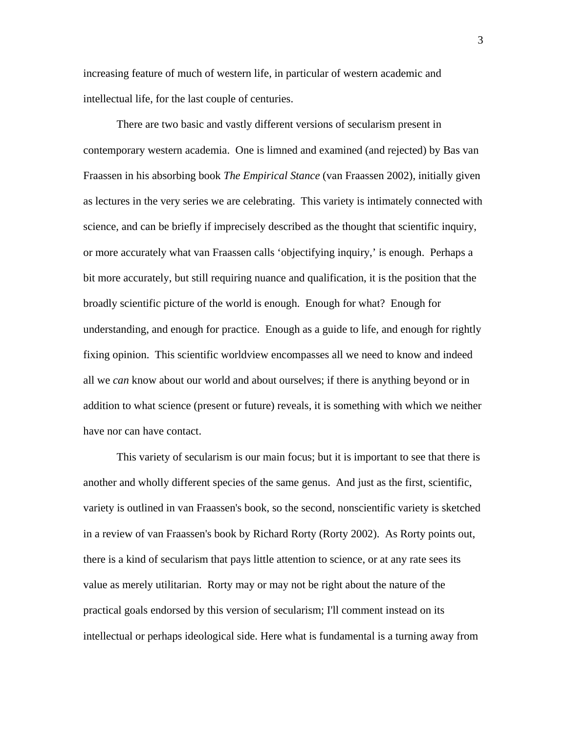increasing feature of much of western life, in particular of western academic and intellectual life, for the last couple of centuries.

 There are two basic and vastly different versions of secularism present in contemporary western academia. One is limned and examined (and rejected) by Bas van Fraassen in his absorbing book *The Empirical Stance* (van Fraassen 2002), initially given as lectures in the very series we are celebrating. This variety is intimately connected with science, and can be briefly if imprecisely described as the thought that scientific inquiry, or more accurately what van Fraassen calls 'objectifying inquiry,' is enough. Perhaps a bit more accurately, but still requiring nuance and qualification, it is the position that the broadly scientific picture of the world is enough. Enough for what? Enough for understanding, and enough for practice. Enough as a guide to life, and enough for rightly fixing opinion. This scientific worldview encompasses all we need to know and indeed all we *can* know about our world and about ourselves; if there is anything beyond or in addition to what science (present or future) reveals, it is something with which we neither have nor can have contact.

 This variety of secularism is our main focus; but it is important to see that there is another and wholly different species of the same genus. And just as the first, scientific, variety is outlined in van Fraassen's book, so the second, nonscientific variety is sketched in a review of van Fraassen's book by Richard Rorty (Rorty 2002). As Rorty points out, there is a kind of secularism that pays little attention to science, or at any rate sees its value as merely utilitarian. Rorty may or may not be right about the nature of the practical goals endorsed by this version of secularism; I'll comment instead on its intellectual or perhaps ideological side. Here what is fundamental is a turning away from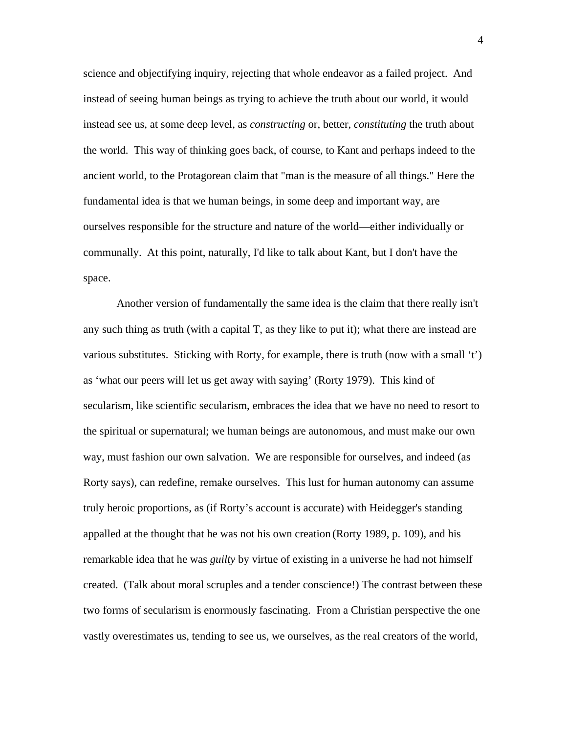science and objectifying inquiry, rejecting that whole endeavor as a failed project. And instead of seeing human beings as trying to achieve the truth about our world, it would instead see us, at some deep level, as *constructing* or, better, *constituting* the truth about the world. This way of thinking goes back, of course, to Kant and perhaps indeed to the ancient world, to the Protagorean claim that "man is the measure of all things." Here the fundamental idea is that we human beings, in some deep and important way, are ourselves responsible for the structure and nature of the world—either individually or communally. At this point, naturally, I'd like to talk about Kant, but I don't have the space.

 Another version of fundamentally the same idea is the claim that there really isn't any such thing as truth (with a capital T, as they like to put it); what there are instead are various substitutes. Sticking with Rorty, for example, there is truth (now with a small 't') as 'what our peers will let us get away with saying' (Rorty 1979). This kind of secularism, like scientific secularism, embraces the idea that we have no need to resort to the spiritual or supernatural; we human beings are autonomous, and must make our own way, must fashion our own salvation. We are responsible for ourselves, and indeed (as Rorty says), can redefine, remake ourselves. This lust for human autonomy can assume truly heroic proportions, as (if Rorty's account is accurate) with Heidegger's standing appalled at the thought that he was not his own creation (Rorty 1989, p. 109), and his remarkable idea that he was *guilty* by virtue of existing in a universe he had not himself created. (Talk about moral scruples and a tender conscience!) The contrast between these two forms of secularism is enormously fascinating. From a Christian perspective the one vastly overestimates us, tending to see us, we ourselves, as the real creators of the world,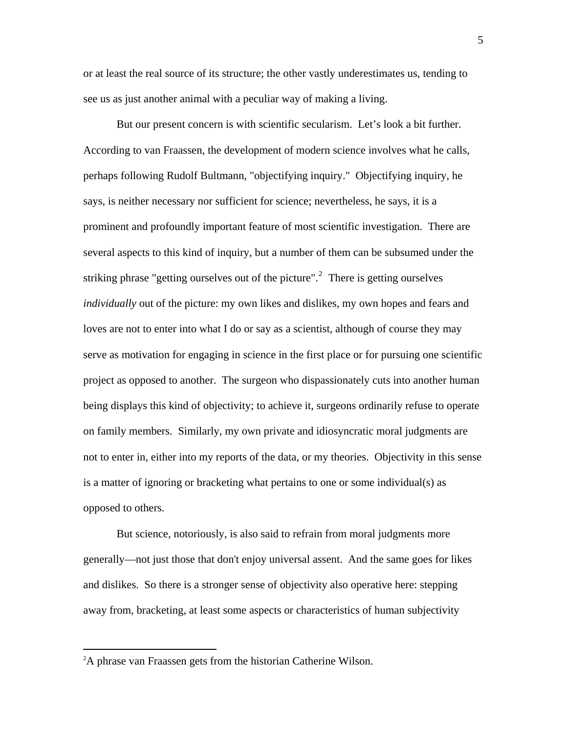or at least the real source of its structure; the other vastly underestimates us, tending to see us as just another animal with a peculiar way of making a living.

But our present concern is with scientific secularism. Let's look a bit further. According to van Fraassen, the development of modern science involves what he calls, perhaps following Rudolf Bultmann, "objectifying inquiry." Objectifying inquiry, he says, is neither necessary nor sufficient for science; nevertheless, he says, it is a prominent and profoundly important feature of most scientific investigation. There are several aspects to this kind of inquiry, but a number of them can be subsumed under the striking phrase "getting ourselves out of the picture".<sup>[2](#page-4-0)</sup> There is getting ourselves *individually* out of the picture: my own likes and dislikes, my own hopes and fears and loves are not to enter into what I do or say as a scientist, although of course they may serve as motivation for engaging in science in the first place or for pursuing one scientific project as opposed to another. The surgeon who dispassionately cuts into another human being displays this kind of objectivity; to achieve it, surgeons ordinarily refuse to operate on family members. Similarly, my own private and idiosyncratic moral judgments are not to enter in, either into my reports of the data, or my theories. Objectivity in this sense is a matter of ignoring or bracketing what pertains to one or some individual(s) as opposed to others.

 But science, notoriously, is also said to refrain from moral judgments more generally—not just those that don't enjoy universal assent. And the same goes for likes and dislikes. So there is a stronger sense of objectivity also operative here: stepping away from, bracketing, at least some aspects or characteristics of human subjectivity

<span id="page-4-0"></span><sup>&</sup>lt;sup>2</sup>A phrase van Fraassen gets from the historian Catherine Wilson.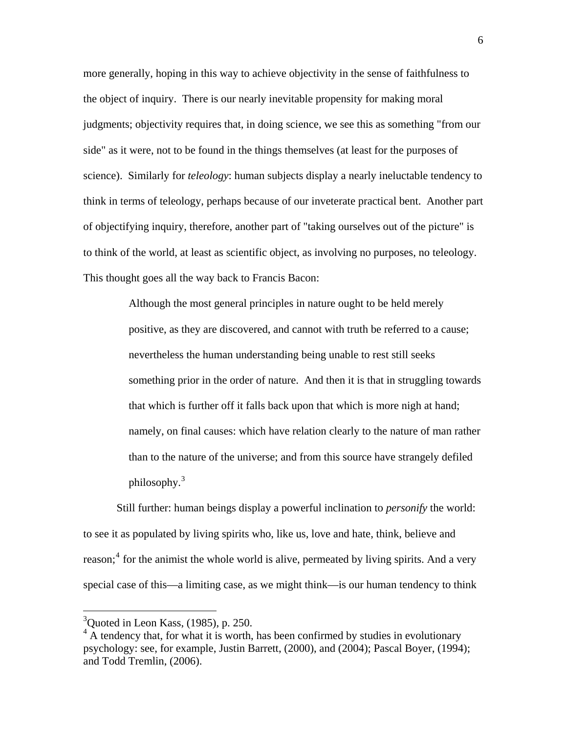more generally, hoping in this way to achieve objectivity in the sense of faithfulness to the object of inquiry. There is our nearly inevitable propensity for making moral judgments; objectivity requires that, in doing science, we see this as something "from our side" as it were, not to be found in the things themselves (at least for the purposes of science). Similarly for *teleology*: human subjects display a nearly ineluctable tendency to think in terms of teleology, perhaps because of our inveterate practical bent. Another part of objectifying inquiry, therefore, another part of "taking ourselves out of the picture" is to think of the world, at least as scientific object, as involving no purposes, no teleology. This thought goes all the way back to Francis Bacon:

> Although the most general principles in nature ought to be held merely positive, as they are discovered, and cannot with truth be referred to a cause; nevertheless the human understanding being unable to rest still seeks something prior in the order of nature. And then it is that in struggling towards that which is further off it falls back upon that which is more nigh at hand; namely, on final causes: which have relation clearly to the nature of man rather than to the nature of the universe; and from this source have strangely defiled philosophy.<sup>[3](#page-5-0)</sup>

Still further: human beings display a powerful inclination to *personify* the world: to see it as populated by living spirits who, like us, love and hate, think, believe and reason;<sup>[4](#page-5-1)</sup> for the animist the whole world is alive, permeated by living spirits. And a very special case of this—a limiting case, as we might think—is our human tendency to think

<span id="page-5-0"></span> $3$ Quoted in Leon Kass, (1985), p. 250.

<span id="page-5-1"></span> $4 \text{ A tendency that, for what it is worth, has been confirmed by studies in evolutionary$ psychology: see, for example, Justin Barrett, (2000), and (2004); Pascal Boyer, (1994); and Todd Tremlin, (2006).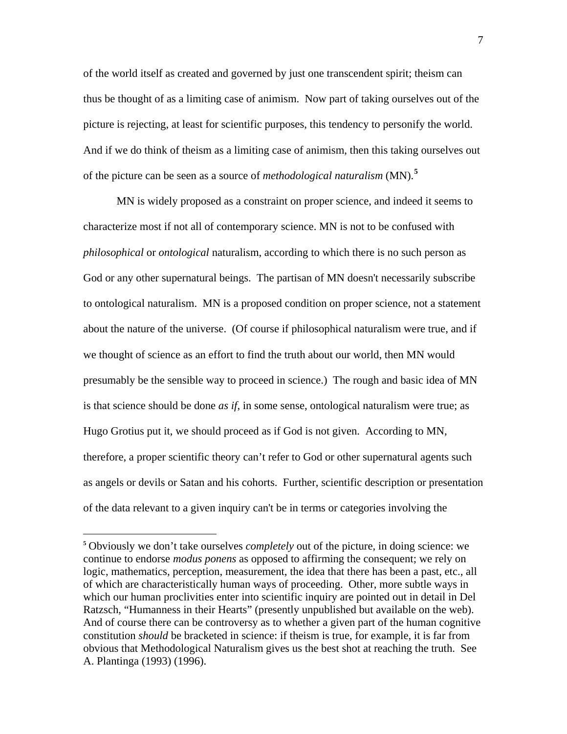of the world itself as created and governed by just one transcendent spirit; theism can thus be thought of as a limiting case of animism. Now part of taking ourselves out of the picture is rejecting, at least for scientific purposes, this tendency to personify the world. And if we do think of theism as a limiting case of animism, then this taking ourselves out of the picture can be seen as a source of *methodological naturalism* (MN).**[5](#page-6-0)**

MN is widely proposed as a constraint on proper science, and indeed it seems to characterize most if not all of contemporary science. MN is not to be confused with *philosophical* or *ontological* naturalism, according to which there is no such person as God or any other supernatural beings. The partisan of MN doesn't necessarily subscribe to ontological naturalism. MN is a proposed condition on proper science, not a statement about the nature of the universe. (Of course if philosophical naturalism were true, and if we thought of science as an effort to find the truth about our world, then MN would presumably be the sensible way to proceed in science.)The rough and basic idea of MN is that science should be done *as if*, in some sense, ontological naturalism were true; as Hugo Grotius put it, we should proceed as if God is not given. According to MN, therefore, a proper scientific theory can't refer to God or other supernatural agents such as angels or devils or Satan and his cohorts. Further, scientific description or presentation of the data relevant to a given inquiry can't be in terms or categories involving the

<span id="page-6-0"></span>**<sup>5</sup>** Obviously we don't take ourselves *completely* out of the picture, in doing science: we continue to endorse *modus ponens* as opposed to affirming the consequent; we rely on logic, mathematics, perception, measurement, the idea that there has been a past, etc., all of which are characteristically human ways of proceeding. Other, more subtle ways in which our human proclivities enter into scientific inquiry are pointed out in detail in Del Ratzsch, "Humanness in their Hearts" (presently unpublished but available on the web). And of course there can be controversy as to whether a given part of the human cognitive constitution *should* be bracketed in science: if theism is true, for example, it is far from obvious that Methodological Naturalism gives us the best shot at reaching the truth. See A. Plantinga (1993) (1996).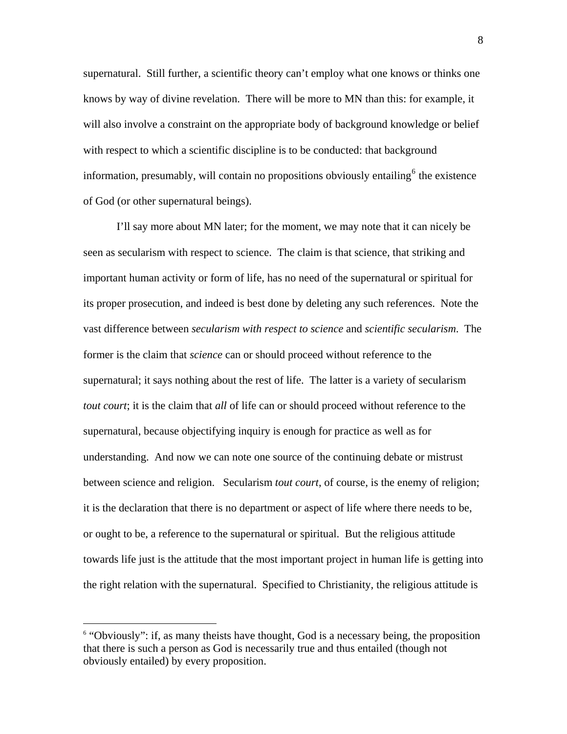supernatural. Still further, a scientific theory can't employ what one knows or thinks one knows by way of divine revelation. There will be more to MN than this: for example, it will also involve a constraint on the appropriate body of background knowledge or belief with respect to which a scientific discipline is to be conducted: that background information, presumably, will contain no propositions obviously entailing  $6$  the existence of God (or other supernatural beings).

I'll say more about MN later; for the moment, we may note that it can nicely be seen as secularism with respect to science. The claim is that science, that striking and important human activity or form of life, has no need of the supernatural or spiritual for its proper prosecution, and indeed is best done by deleting any such references. Note the vast difference between *secularism with respect to science* and *scientific secularism*. The former is the claim that *science* can or should proceed without reference to the supernatural; it says nothing about the rest of life. The latter is a variety of secularism *tout court*; it is the claim that *all* of life can or should proceed without reference to the supernatural, because objectifying inquiry is enough for practice as well as for understanding. And now we can note one source of the continuing debate or mistrust between science and religion. Secularism *tout court*, of course, is the enemy of religion; it is the declaration that there is no department or aspect of life where there needs to be, or ought to be, a reference to the supernatural or spiritual.But the religious attitude towards life just is the attitude that the most important project in human life is getting into the right relation with the supernatural. Specified to Christianity, the religious attitude is

<span id="page-7-0"></span><sup>&</sup>lt;sup>6</sup> "Obviously": if, as many theists have thought, God is a necessary being, the proposition that there is such a person as God is necessarily true and thus entailed (though not obviously entailed) by every proposition.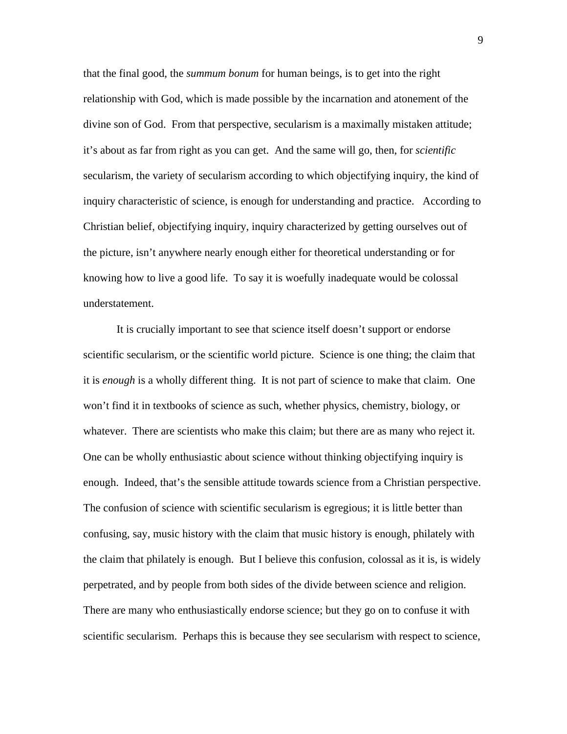that the final good, the *summum bonum* for human beings, is to get into the right relationship with God, which is made possible by the incarnation and atonement of the divine son of God. From that perspective, secularism is a maximally mistaken attitude; it's about as far from right as you can get. And the same will go, then, for *scientific* secularism, the variety of secularism according to which objectifying inquiry, the kind of inquiry characteristic of science, is enough for understanding and practice. According to Christian belief, objectifying inquiry, inquiry characterized by getting ourselves out of the picture, isn't anywhere nearly enough either for theoretical understanding or for knowing how to live a good life. To say it is woefully inadequate would be colossal understatement.

It is crucially important to see that science itself doesn't support or endorse scientific secularism, or the scientific world picture. Science is one thing; the claim that it is *enough* is a wholly different thing. It is not part of science to make that claim. One won't find it in textbooks of science as such, whether physics, chemistry, biology, or whatever. There are scientists who make this claim; but there are as many who reject it. One can be wholly enthusiastic about science without thinking objectifying inquiry is enough. Indeed, that's the sensible attitude towards science from a Christian perspective. The confusion of science with scientific secularism is egregious; it is little better than confusing, say, music history with the claim that music history is enough, philately with the claim that philately is enough. But I believe this confusion, colossal as it is, is widely perpetrated, and by people from both sides of the divide between science and religion. There are many who enthusiastically endorse science; but they go on to confuse it with scientific secularism. Perhaps this is because they see secularism with respect to science,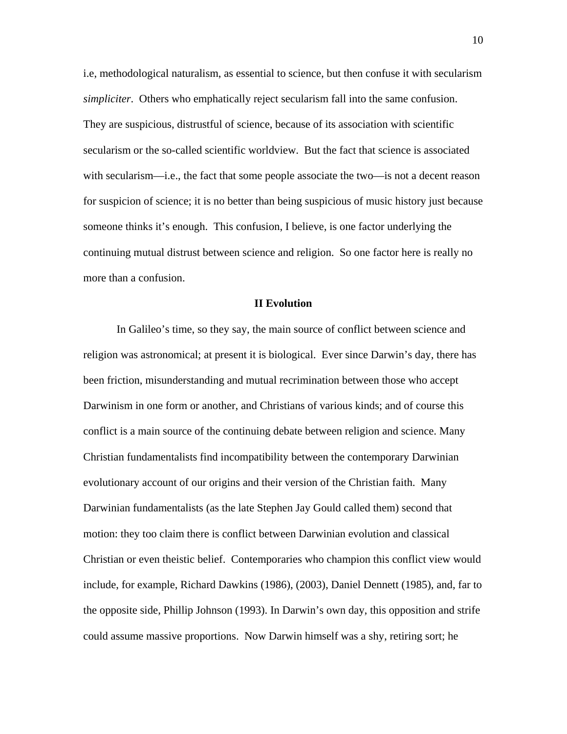i.e, methodological naturalism, as essential to science, but then confuse it with secularism *simpliciter*. Others who emphatically reject secularism fall into the same confusion. They are suspicious, distrustful of science, because of its association with scientific secularism or the so-called scientific worldview. But the fact that science is associated with secularism—i.e., the fact that some people associate the two—is not a decent reason for suspicion of science; it is no better than being suspicious of music history just because someone thinks it's enough. This confusion, I believe, is one factor underlying the continuing mutual distrust between science and religion. So one factor here is really no more than a confusion.

### **II Evolution**

 In Galileo's time, so they say, the main source of conflict between science and religion was astronomical; at present it is biological. Ever since Darwin's day, there has been friction, misunderstanding and mutual recrimination between those who accept Darwinism in one form or another, and Christians of various kinds; and of course this conflict is a main source of the continuing debate between religion and science. Many Christian fundamentalists find incompatibility between the contemporary Darwinian evolutionary account of our origins and their version of the Christian faith. Many Darwinian fundamentalists (as the late Stephen Jay Gould called them) second that motion: they too claim there is conflict between Darwinian evolution and classical Christian or even theistic belief. Contemporaries who champion this conflict view would include, for example, Richard Dawkins (1986), (2003), Daniel Dennett (1985), and, far to the opposite side, Phillip Johnson (1993). In Darwin's own day, this opposition and strife could assume massive proportions. Now Darwin himself was a shy, retiring sort; he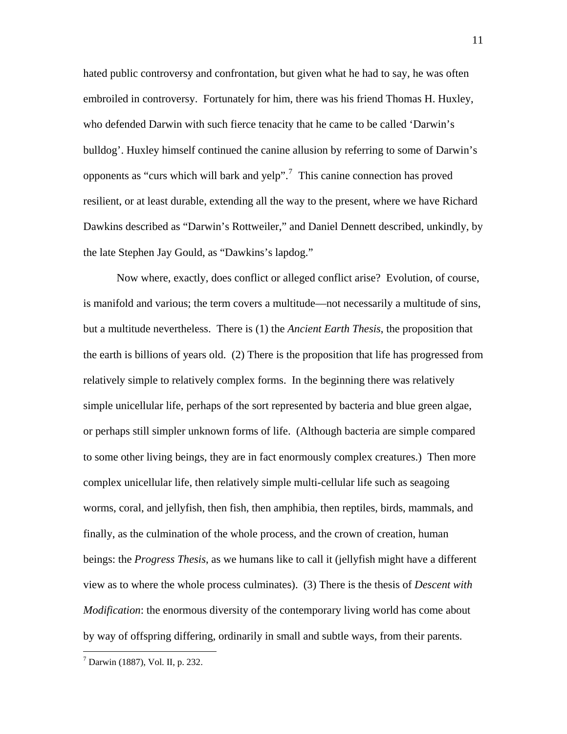hated public controversy and confrontation, but given what he had to say, he was often embroiled in controversy. Fortunately for him, there was his friend Thomas H. Huxley, who defended Darwin with such fierce tenacity that he came to be called 'Darwin's bulldog'. Huxley himself continued the canine allusion by referring to some of Darwin's opponents as "curs which will bark and yelp".<sup>[7](#page-10-0)</sup> This canine connection has proved resilient, or at least durable, extending all the way to the present, where we have Richard Dawkins described as "Darwin's Rottweiler," and Daniel Dennett described, unkindly, by the late Stephen Jay Gould, as "Dawkins's lapdog."

Now where, exactly, does conflict or alleged conflict arise? Evolution, of course, is manifold and various; the term covers a multitude—not necessarily a multitude of sins, but a multitude nevertheless. There is (1) the *Ancient Earth Thesis*, the proposition that the earth is billions of years old. (2) There is the proposition that life has progressed from relatively simple to relatively complex forms. In the beginning there was relatively simple unicellular life, perhaps of the sort represented by bacteria and blue green algae, or perhaps still simpler unknown forms of life. (Although bacteria are simple compared to some other living beings, they are in fact enormously complex creatures.) Then more complex unicellular life, then relatively simple multi-cellular life such as seagoing worms, coral, and jellyfish, then fish, then amphibia, then reptiles, birds, mammals, and finally, as the culmination of the whole process, and the crown of creation, human beings: the *Progress Thesis*, as we humans like to call it (jellyfish might have a different view as to where the whole process culminates). (3) There is the thesis of *Descent with Modification*: the enormous diversity of the contemporary living world has come about by way of offspring differing, ordinarily in small and subtle ways, from their parents.

<span id="page-10-0"></span><sup>7</sup> Darwin (1887), Vol. II, p. 232.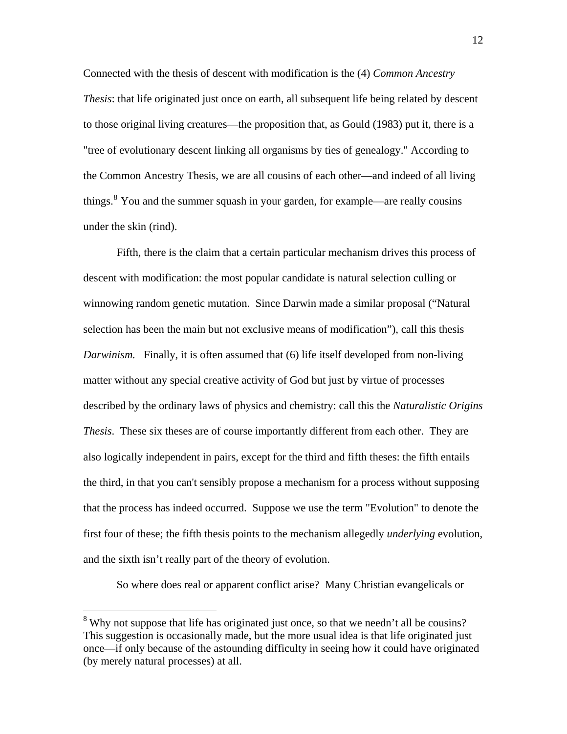Connected with the thesis of descent with modification is the (4) *Common Ancestry Thesis*: that life originated just once on earth, all subsequent life being related by descent to those original living creatures—the proposition that, as Gould (1983) put it, there is a "tree of evolutionary descent linking all organisms by ties of genealogy." According to the Common Ancestry Thesis, we are all cousins of each other—and indeed of all living things.<sup>[8](#page-11-0)</sup> You and the summer squash in your garden, for example—are really cousins under the skin (rind).

Fifth, there is the claim that a certain particular mechanism drives this process of descent with modification: the most popular candidate is natural selection culling or winnowing random genetic mutation. Since Darwin made a similar proposal ("Natural selection has been the main but not exclusive means of modification"), call this thesis *Darwinism.* Finally, it is often assumed that (6) life itself developed from non-living matter without any special creative activity of God but just by virtue of processes described by the ordinary laws of physics and chemistry: call this the *Naturalistic Origins Thesis*. These six theses are of course importantly different from each other. They are also logically independent in pairs, except for the third and fifth theses: the fifth entails the third, in that you can't sensibly propose a mechanism for a process without supposing that the process has indeed occurred. Suppose we use the term "Evolution" to denote the first four of these; the fifth thesis points to the mechanism allegedly *underlying* evolution, and the sixth isn't really part of the theory of evolution.

So where does real or apparent conflict arise? Many Christian evangelicals or

<span id="page-11-0"></span><sup>&</sup>lt;sup>8</sup> Why not suppose that life has originated just once, so that we needn't all be cousins? This suggestion is occasionally made, but the more usual idea is that life originated just once—if only because of the astounding difficulty in seeing how it could have originated (by merely natural processes) at all.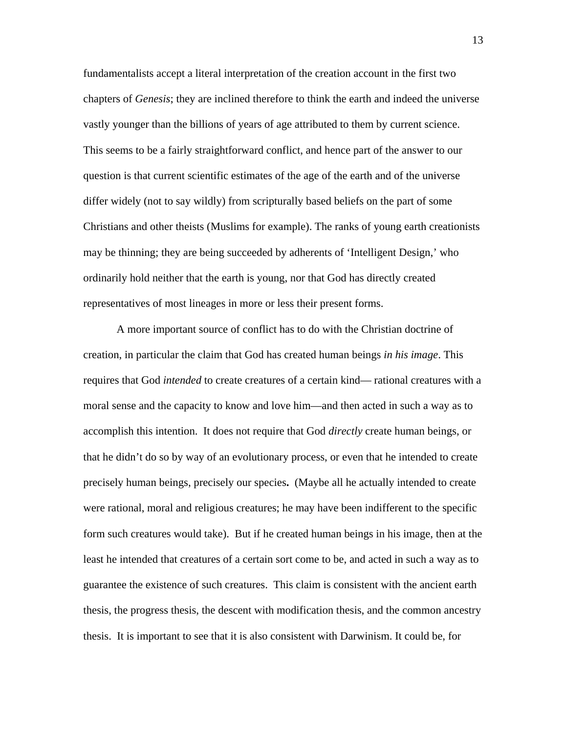fundamentalists accept a literal interpretation of the creation account in the first two chapters of *Genesis*; they are inclined therefore to think the earth and indeed the universe vastly younger than the billions of years of age attributed to them by current science. This seems to be a fairly straightforward conflict, and hence part of the answer to our question is that current scientific estimates of the age of the earth and of the universe differ widely (not to say wildly) from scripturally based beliefs on the part of some Christians and other theists (Muslims for example). The ranks of young earth creationists may be thinning; they are being succeeded by adherents of 'Intelligent Design,' who ordinarily hold neither that the earth is young, nor that God has directly created representatives of most lineages in more or less their present forms.

 A more important source of conflict has to do with the Christian doctrine of creation, in particular the claim that God has created human beings *in his image*. This requires that God *intended* to create creatures of a certain kind— rational creatures with a moral sense and the capacity to know and love him—and then acted in such a way as to accomplish this intention. It does not require that God *directly* create human beings, or that he didn't do so by way of an evolutionary process, or even that he intended to create precisely human beings, precisely our species**.** (Maybe all he actually intended to create were rational, moral and religious creatures; he may have been indifferent to the specific form such creatures would take). But if he created human beings in his image, then at the least he intended that creatures of a certain sort come to be, and acted in such a way as to guarantee the existence of such creatures. This claim is consistent with the ancient earth thesis, the progress thesis, the descent with modification thesis, and the common ancestry thesis. It is important to see that it is also consistent with Darwinism. It could be, for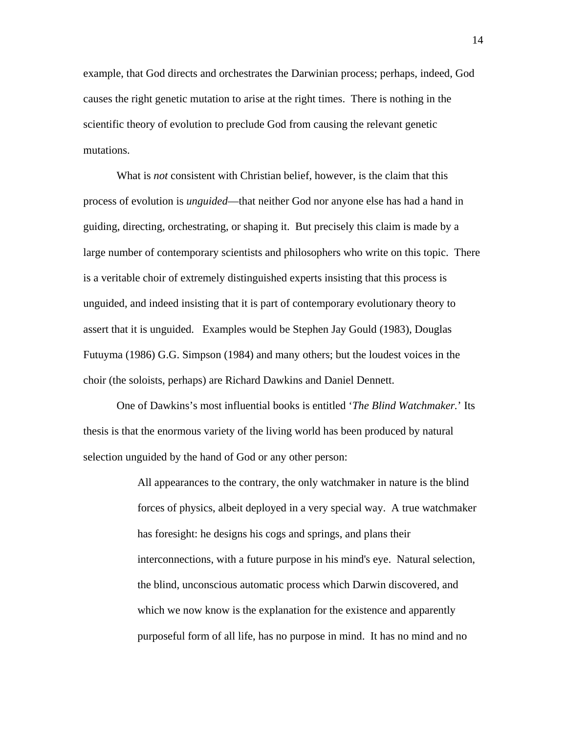example, that God directs and orchestrates the Darwinian process; perhaps, indeed, God causes the right genetic mutation to arise at the right times. There is nothing in the scientific theory of evolution to preclude God from causing the relevant genetic mutations.

 What is *not* consistent with Christian belief, however, is the claim that this process of evolution is *unguided*—that neither God nor anyone else has had a hand in guiding, directing, orchestrating, or shaping it. But precisely this claim is made by a large number of contemporary scientists and philosophers who write on this topic. There is a veritable choir of extremely distinguished experts insisting that this process is unguided, and indeed insisting that it is part of contemporary evolutionary theory to assert that it is unguided. Examples would be Stephen Jay Gould (1983), Douglas Futuyma (1986) G.G. Simpson (1984) and many others; but the loudest voices in the choir (the soloists, perhaps) are Richard Dawkins and Daniel Dennett.

One of Dawkins's most influential books is entitled '*The Blind Watchmaker.*' Its thesis is that the enormous variety of the living world has been produced by natural selection unguided by the hand of God or any other person:

> All appearances to the contrary, the only watchmaker in nature is the blind forces of physics, albeit deployed in a very special way. A true watchmaker has foresight: he designs his cogs and springs, and plans their interconnections, with a future purpose in his mind's eye. Natural selection, the blind, unconscious automatic process which Darwin discovered, and which we now know is the explanation for the existence and apparently purposeful form of all life, has no purpose in mind. It has no mind and no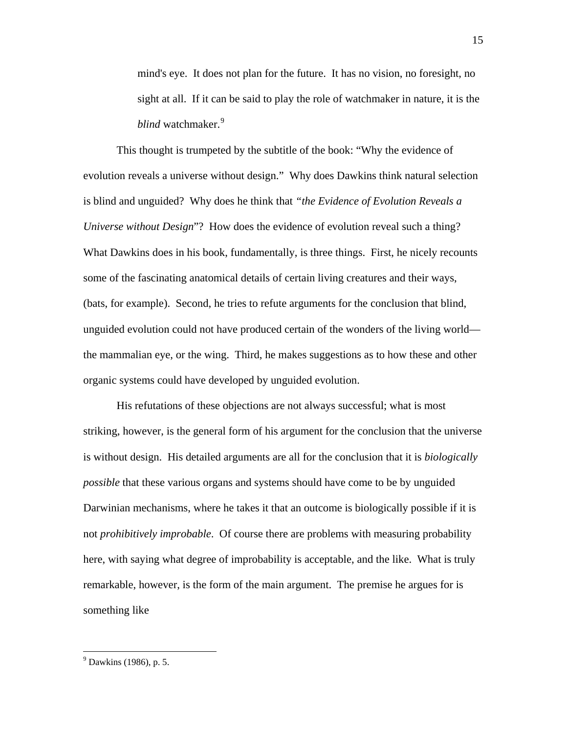mind's eye. It does not plan for the future. It has no vision, no foresight, no sight at all. If it can be said to play the role of watchmaker in nature, it is the *blind* watchmaker.<sup>[9](#page-14-0)</sup>

This thought is trumpeted by the subtitle of the book: "Why the evidence of evolution reveals a universe without design." Why does Dawkins think natural selection is blind and unguided? Why does he think that *"the Evidence of Evolution Reveals a Universe without Design*"? How does the evidence of evolution reveal such a thing? What Dawkins does in his book, fundamentally, is three things. First, he nicely recounts some of the fascinating anatomical details of certain living creatures and their ways, (bats, for example). Second, he tries to refute arguments for the conclusion that blind, unguided evolution could not have produced certain of the wonders of the living world the mammalian eye, or the wing. Third, he makes suggestions as to how these and other organic systems could have developed by unguided evolution.

His refutations of these objections are not always successful; what is most striking, however, is the general form of his argument for the conclusion that the universe is without design. His detailed arguments are all for the conclusion that it is *biologically possible* that these various organs and systems should have come to be by unguided Darwinian mechanisms, where he takes it that an outcome is biologically possible if it is not *prohibitively improbable*. Of course there are problems with measuring probability here, with saying what degree of improbability is acceptable, and the like. What is truly remarkable, however, is the form of the main argument. The premise he argues for is something like

<span id="page-14-0"></span> $9^9$  Dawkins (1986), p. 5.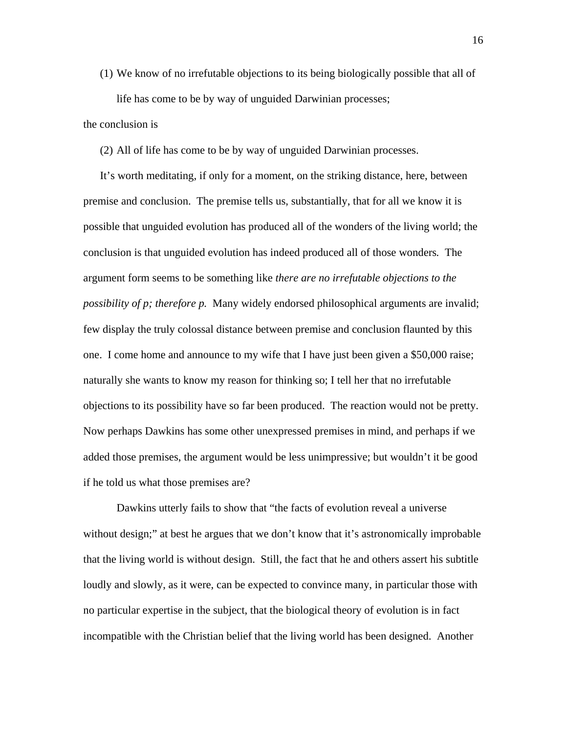(1) We know of no irrefutable objections to its being biologically possible that all of life has come to be by way of unguided Darwinian processes;

# the conclusion is

(2) All of life has come to be by way of unguided Darwinian processes.

It's worth meditating, if only for a moment, on the striking distance, here, between premise and conclusion.The premise tells us, substantially, that for all we know it is possible that unguided evolution has produced all of the wonders of the living world; the conclusion is that unguided evolution has indeed produced all of those wonders*.* The argument form seems to be something like *there are no irrefutable objections to the possibility of p; therefore p.* Many widely endorsed philosophical arguments are invalid; few display the truly colossal distance between premise and conclusion flaunted by this one. I come home and announce to my wife that I have just been given a \$50,000 raise; naturally she wants to know my reason for thinking so; I tell her that no irrefutable objections to its possibility have so far been produced. The reaction would not be pretty. Now perhaps Dawkins has some other unexpressed premises in mind, and perhaps if we added those premises, the argument would be less unimpressive; but wouldn't it be good if he told us what those premises are?

 Dawkins utterly fails to show that "the facts of evolution reveal a universe without design;" at best he argues that we don't know that it's astronomically improbable that the living world is without design. Still, the fact that he and others assert his subtitle loudly and slowly, as it were, can be expected to convince many, in particular those with no particular expertise in the subject, that the biological theory of evolution is in fact incompatible with the Christian belief that the living world has been designed. Another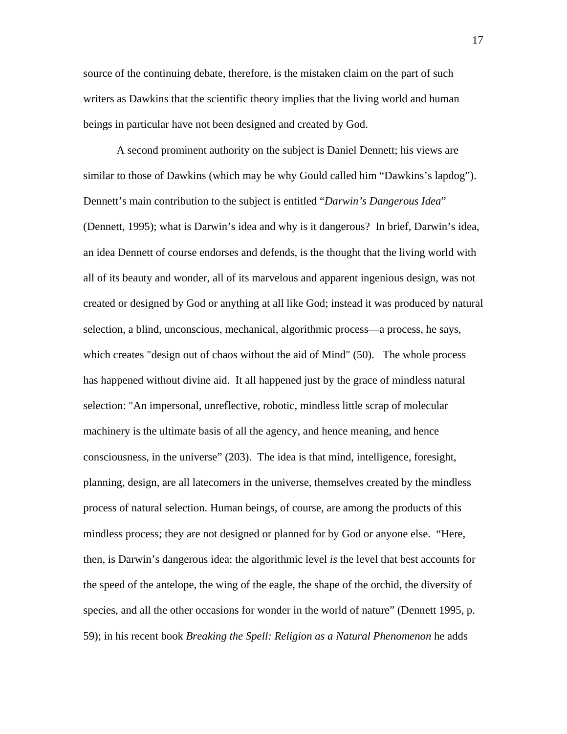source of the continuing debate, therefore, is the mistaken claim on the part of such writers as Dawkins that the scientific theory implies that the living world and human beings in particular have not been designed and created by God.

A second prominent authority on the subject is Daniel Dennett; his views are similar to those of Dawkins (which may be why Gould called him "Dawkins's lapdog"). Dennett's main contribution to the subject is entitled "*Darwin's Dangerous Idea*" (Dennett, 1995); what is Darwin's idea and why is it dangerous? In brief, Darwin's idea, an idea Dennett of course endorses and defends, is the thought that the living world with all of its beauty and wonder, all of its marvelous and apparent ingenious design, was not created or designed by God or anything at all like God; instead it was produced by natural selection, a blind, unconscious, mechanical, algorithmic process—a process, he says, which creates "design out of chaos without the aid of Mind" (50). The whole process has happened without divine aid. It all happened just by the grace of mindless natural selection: "An impersonal, unreflective, robotic, mindless little scrap of molecular machinery is the ultimate basis of all the agency, and hence meaning, and hence consciousness, in the universe" (203).The idea is that mind, intelligence, foresight, planning, design, are all latecomers in the universe, themselves created by the mindless process of natural selection. Human beings, of course, are among the products of this mindless process; they are not designed or planned for by God or anyone else. "Here, then, is Darwin's dangerous idea: the algorithmic level *is* the level that best accounts for the speed of the antelope, the wing of the eagle, the shape of the orchid, the diversity of species, and all the other occasions for wonder in the world of nature" (Dennett 1995, p. 59); in his recent book *Breaking the Spell: Religion as a Natural Phenomenon* he adds

17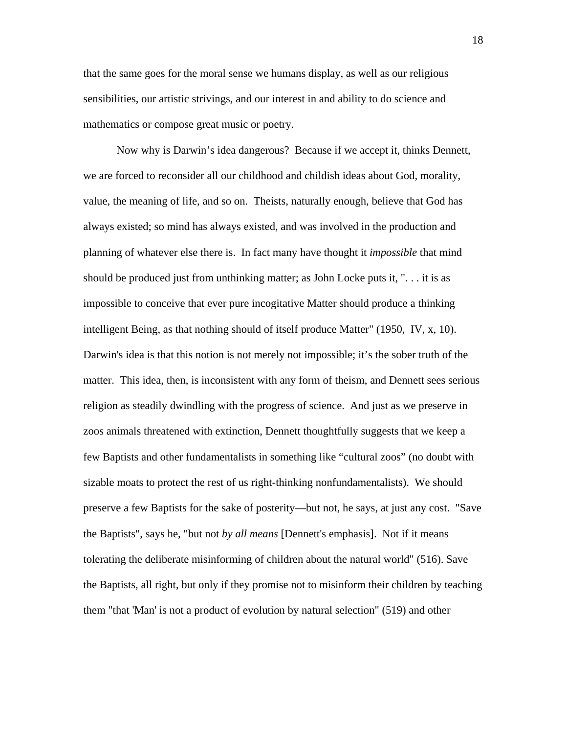that the same goes for the moral sense we humans display, as well as our religious sensibilities, our artistic strivings, and our interest in and ability to do science and mathematics or compose great music or poetry.

Now why is Darwin's idea dangerous? Because if we accept it, thinks Dennett, we are forced to reconsider all our childhood and childish ideas about God, morality, value, the meaning of life, and so on. Theists, naturally enough, believe that God has always existed; so mind has always existed, and was involved in the production and planning of whatever else there is. In fact many have thought it *impossible* that mind should be produced just from unthinking matter; as John Locke puts it, ". . . it is as impossible to conceive that ever pure incogitative Matter should produce a thinking intelligent Being, as that nothing should of itself produce Matter" (1950, IV, x, 10). Darwin's idea is that this notion is not merely not impossible; it's the sober truth of the matter. This idea, then, is inconsistent with any form of theism, and Dennett sees serious religion as steadily dwindling with the progress of science. And just as we preserve in zoos animals threatened with extinction, Dennett thoughtfully suggests that we keep a few Baptists and other fundamentalists in something like "cultural zoos" (no doubt with sizable moats to protect the rest of us right-thinking nonfundamentalists). We should preserve a few Baptists for the sake of posterity—but not, he says, at just any cost. "Save the Baptists", says he, "but not *by all means* [Dennett's emphasis]. Not if it means tolerating the deliberate misinforming of children about the natural world" (516). Save the Baptists, all right, but only if they promise not to misinform their children by teaching them "that 'Man' is not a product of evolution by natural selection" (519) and other

18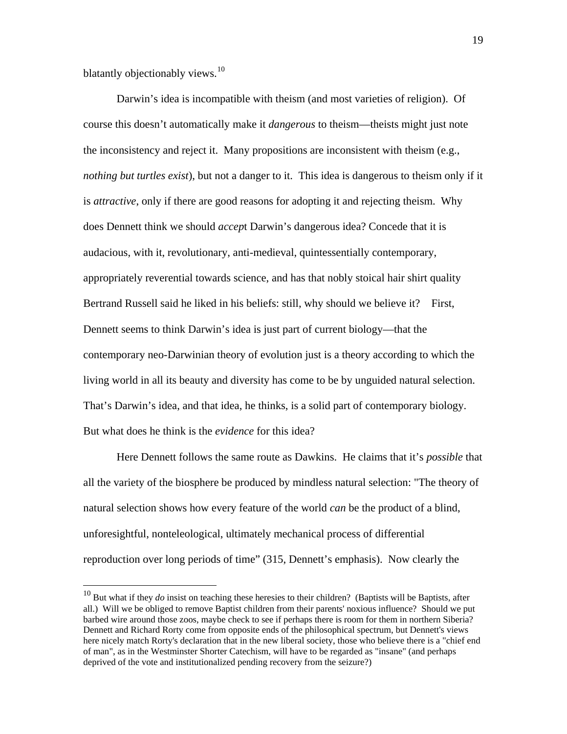blatantly objectionably views.<sup>[10](#page-18-0)</sup>

 $\overline{a}$ 

 Darwin's idea is incompatible with theism (and most varieties of religion). Of course this doesn't automatically make it *dangerous* to theism—theists might just note the inconsistency and reject it. Many propositions are inconsistent with theism (e.g., *nothing but turtles exist*), but not a danger to it. This idea is dangerous to theism only if it is *attractive*, only if there are good reasons for adopting it and rejecting theism. Why does Dennett think we should *accep*t Darwin's dangerous idea? Concede that it is audacious, with it, revolutionary, anti-medieval, quintessentially contemporary, appropriately reverential towards science, and has that nobly stoical hair shirt quality Bertrand Russell said he liked in his beliefs: still, why should we believe it? First, Dennett seems to think Darwin's idea is just part of current biology—that the contemporary neo-Darwinian theory of evolution just is a theory according to which the living world in all its beauty and diversity has come to be by unguided natural selection. That's Darwin's idea, and that idea, he thinks, is a solid part of contemporary biology. But what does he think is the *evidence* for this idea?

Here Dennett follows the same route as Dawkins. He claims that it's *possible* that all the variety of the biosphere be produced by mindless natural selection: "The theory of natural selection shows how every feature of the world *can* be the product of a blind, unforesightful, nonteleological, ultimately mechanical process of differential reproduction over long periods of time" (315, Dennett's emphasis). Now clearly the

<span id="page-18-0"></span><sup>&</sup>lt;sup>10</sup> But what if they *do* insist on teaching these heresies to their children? (Baptists will be Baptists, after all.) Will we be obliged to remove Baptist children from their parents' noxious influence? Should we put barbed wire around those zoos, maybe check to see if perhaps there is room for them in northern Siberia? Dennett and Richard Rorty come from opposite ends of the philosophical spectrum, but Dennett's views here nicely match Rorty's declaration that in the new liberal society, those who believe there is a "chief end of man", as in the Westminster Shorter Catechism, will have to be regarded as "insane" (and perhaps deprived of the vote and institutionalized pending recovery from the seizure?)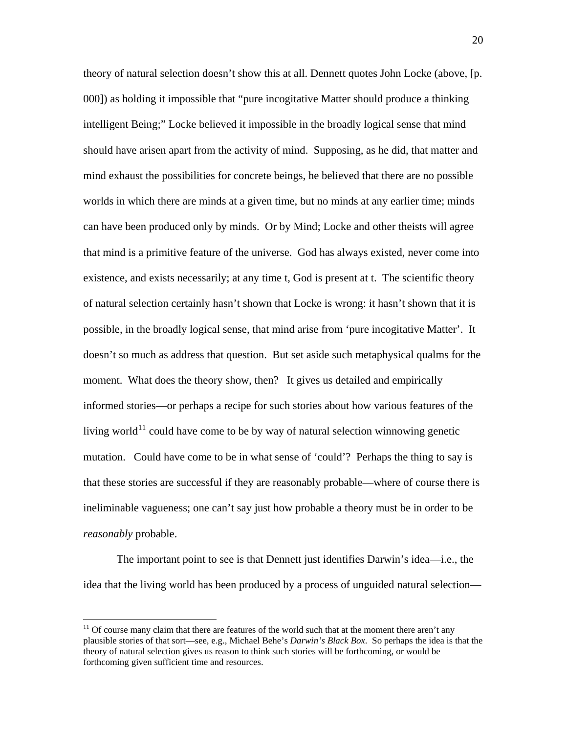theory of natural selection doesn't show this at all. Dennett quotes John Locke (above, [p. 000]) as holding it impossible that "pure incogitative Matter should produce a thinking intelligent Being;" Locke believed it impossible in the broadly logical sense that mind should have arisen apart from the activity of mind. Supposing, as he did, that matter and mind exhaust the possibilities for concrete beings, he believed that there are no possible worlds in which there are minds at a given time, but no minds at any earlier time; minds can have been produced only by minds. Or by Mind; Locke and other theists will agree that mind is a primitive feature of the universe. God has always existed, never come into existence, and exists necessarily; at any time t, God is present at t. The scientific theory of natural selection certainly hasn't shown that Locke is wrong: it hasn't shown that it is possible, in the broadly logical sense, that mind arise from 'pure incogitative Matter'. It doesn't so much as address that question. But set aside such metaphysical qualms for the moment. What does the theory show, then? It gives us detailed and empirically informed stories—or perhaps a recipe for such stories about how various features of the living world<sup>[11](#page-19-0)</sup> could have come to be by way of natural selection winnowing genetic mutation. Could have come to be in what sense of 'could'? Perhaps the thing to say is that these stories are successful if they are reasonably probable—where of course there is ineliminable vagueness; one can't say just how probable a theory must be in order to be *reasonably* probable.

The important point to see is that Dennett just identifies Darwin's idea—i.e., the idea that the living world has been produced by a process of unguided natural selection—

<span id="page-19-0"></span> $11$  Of course many claim that there are features of the world such that at the moment there aren't any plausible stories of that sort—see, e.g., Michael Behe's *Darwin's Black Box*. So perhaps the idea is that the theory of natural selection gives us reason to think such stories will be forthcoming, or would be forthcoming given sufficient time and resources.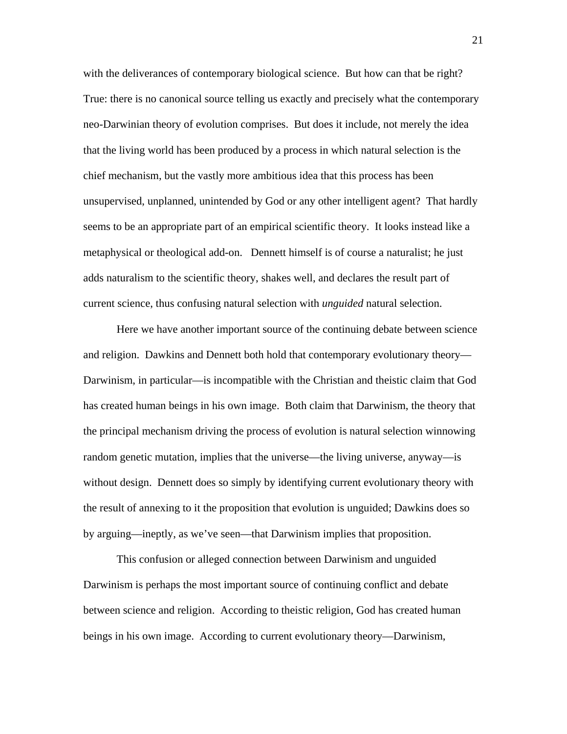with the deliverances of contemporary biological science. But how can that be right? True: there is no canonical source telling us exactly and precisely what the contemporary neo-Darwinian theory of evolution comprises. But does it include, not merely the idea that the living world has been produced by a process in which natural selection is the chief mechanism, but the vastly more ambitious idea that this process has been unsupervised, unplanned, unintended by God or any other intelligent agent? That hardly seems to be an appropriate part of an empirical scientific theory. It looks instead like a metaphysical or theological add-on. Dennett himself is of course a naturalist; he just adds naturalism to the scientific theory, shakes well, and declares the result part of current science, thus confusing natural selection with *unguided* natural selection.

Here we have another important source of the continuing debate between science and religion. Dawkins and Dennett both hold that contemporary evolutionary theory— Darwinism, in particular—is incompatible with the Christian and theistic claim that God has created human beings in his own image. Both claim that Darwinism, the theory that the principal mechanism driving the process of evolution is natural selection winnowing random genetic mutation, implies that the universe—the living universe, anyway—is without design. Dennett does so simply by identifying current evolutionary theory with the result of annexing to it the proposition that evolution is unguided; Dawkins does so by arguing—ineptly, as we've seen—that Darwinism implies that proposition.

This confusion or alleged connection between Darwinism and unguided Darwinism is perhaps the most important source of continuing conflict and debate between science and religion. According to theistic religion, God has created human beings in his own image. According to current evolutionary theory—Darwinism,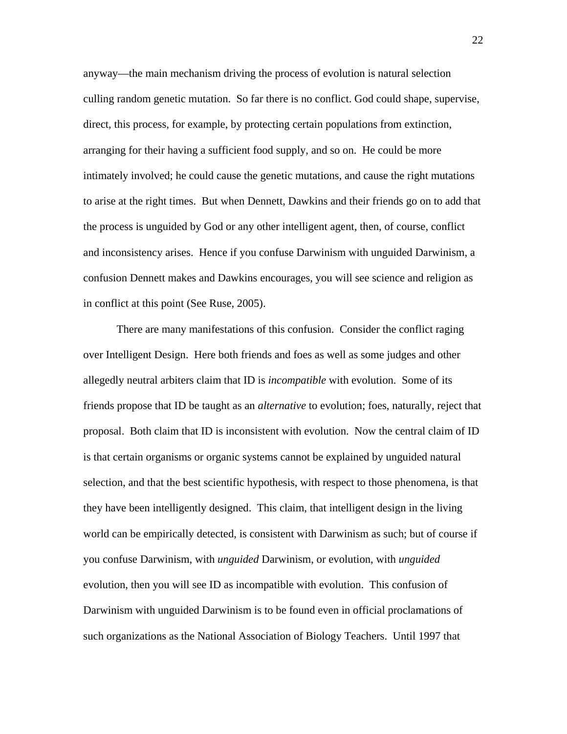anyway—the main mechanism driving the process of evolution is natural selection culling random genetic mutation. So far there is no conflict. God could shape, supervise, direct, this process, for example, by protecting certain populations from extinction, arranging for their having a sufficient food supply, and so on. He could be more intimately involved; he could cause the genetic mutations, and cause the right mutations to arise at the right times. But when Dennett, Dawkins and their friends go on to add that the process is unguided by God or any other intelligent agent, then, of course, conflict and inconsistency arises. Hence if you confuse Darwinism with unguided Darwinism, a confusion Dennett makes and Dawkins encourages, you will see science and religion as in conflict at this point (See Ruse, 2005).

There are many manifestations of this confusion. Consider the conflict raging over Intelligent Design. Here both friends and foes as well as some judges and other allegedly neutral arbiters claim that ID is *incompatible* with evolution. Some of its friends propose that ID be taught as an *alternative* to evolution; foes, naturally, reject that proposal. Both claim that ID is inconsistent with evolution. Now the central claim of ID is that certain organisms or organic systems cannot be explained by unguided natural selection, and that the best scientific hypothesis, with respect to those phenomena, is that they have been intelligently designed. This claim, that intelligent design in the living world can be empirically detected, is consistent with Darwinism as such; but of course if you confuse Darwinism, with *unguided* Darwinism, or evolution, with *unguided* evolution, then you will see ID as incompatible with evolution. This confusion of Darwinism with unguided Darwinism is to be found even in official proclamations of such organizations as the National Association of Biology Teachers. Until 1997 that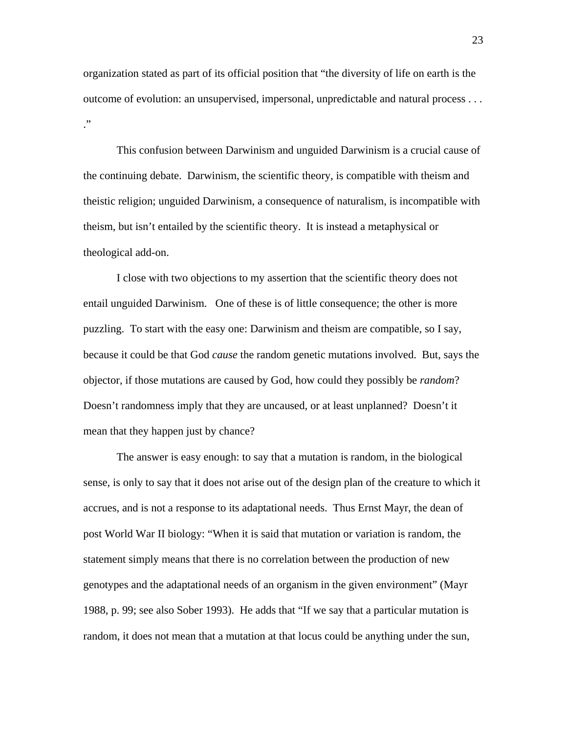organization stated as part of its official position that "the diversity of life on earth is the outcome of evolution: an unsupervised, impersonal, unpredictable and natural process . . . ."

 This confusion between Darwinism and unguided Darwinism is a crucial cause of the continuing debate. Darwinism, the scientific theory, is compatible with theism and theistic religion; unguided Darwinism, a consequence of naturalism, is incompatible with theism, but isn't entailed by the scientific theory. It is instead a metaphysical or theological add-on.

I close with two objections to my assertion that the scientific theory does not entail unguided Darwinism. One of these is of little consequence; the other is more puzzling. To start with the easy one: Darwinism and theism are compatible, so I say, because it could be that God *cause* the random genetic mutations involved. But, says the objector, if those mutations are caused by God, how could they possibly be *random*? Doesn't randomness imply that they are uncaused, or at least unplanned? Doesn't it mean that they happen just by chance?

 The answer is easy enough: to say that a mutation is random, in the biological sense, is only to say that it does not arise out of the design plan of the creature to which it accrues, and is not a response to its adaptational needs. Thus Ernst Mayr, the dean of post World War II biology: "When it is said that mutation or variation is random, the statement simply means that there is no correlation between the production of new genotypes and the adaptational needs of an organism in the given environment" (Mayr 1988, p. 99; see also Sober 1993). He adds that "If we say that a particular mutation is random, it does not mean that a mutation at that locus could be anything under the sun,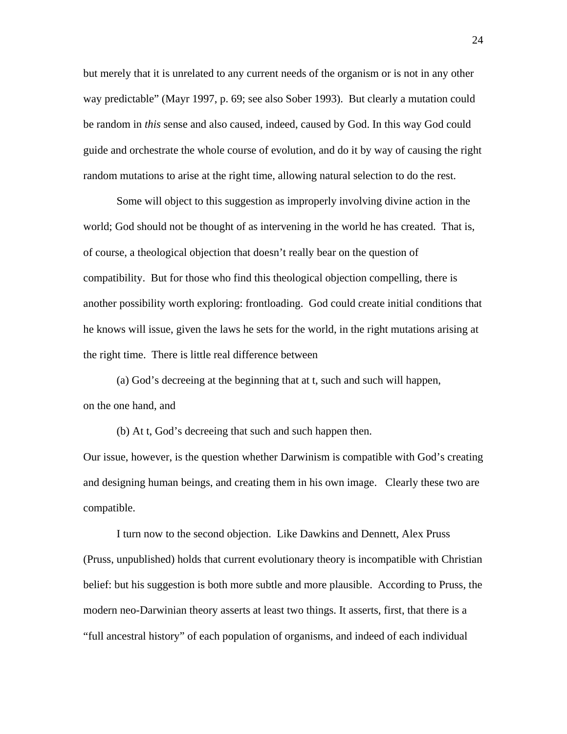but merely that it is unrelated to any current needs of the organism or is not in any other way predictable" (Mayr 1997, p. 69; see also Sober 1993). But clearly a mutation could be random in *this* sense and also caused, indeed, caused by God. In this way God could guide and orchestrate the whole course of evolution, and do it by way of causing the right random mutations to arise at the right time, allowing natural selection to do the rest.

 Some will object to this suggestion as improperly involving divine action in the world; God should not be thought of as intervening in the world he has created. That is, of course, a theological objection that doesn't really bear on the question of compatibility. But for those who find this theological objection compelling, there is another possibility worth exploring: frontloading. God could create initial conditions that he knows will issue, given the laws he sets for the world, in the right mutations arising at the right time. There is little real difference between

 (a) God's decreeing at the beginning that at t, such and such will happen, on the one hand, and

(b) At t, God's decreeing that such and such happen then.

Our issue, however, is the question whether Darwinism is compatible with God's creating and designing human beings, and creating them in his own image. Clearly these two are compatible.

 I turn now to the second objection. Like Dawkins and Dennett, Alex Pruss (Pruss, unpublished) holds that current evolutionary theory is incompatible with Christian belief: but his suggestion is both more subtle and more plausible. According to Pruss, the modern neo-Darwinian theory asserts at least two things. It asserts, first, that there is a "full ancestral history" of each population of organisms, and indeed of each individual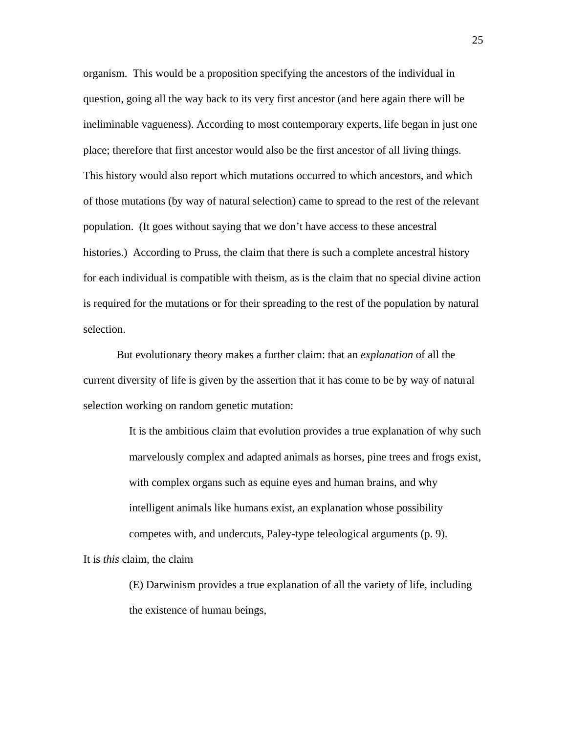organism. This would be a proposition specifying the ancestors of the individual in question, going all the way back to its very first ancestor (and here again there will be ineliminable vagueness). According to most contemporary experts, life began in just one place; therefore that first ancestor would also be the first ancestor of all living things. This history would also report which mutations occurred to which ancestors, and which of those mutations (by way of natural selection) came to spread to the rest of the relevant population. (It goes without saying that we don't have access to these ancestral histories.) According to Pruss, the claim that there is such a complete ancestral history for each individual is compatible with theism, as is the claim that no special divine action is required for the mutations or for their spreading to the rest of the population by natural selection.

 But evolutionary theory makes a further claim: that an *explanation* of all the current diversity of life is given by the assertion that it has come to be by way of natural selection working on random genetic mutation:

> It is the ambitious claim that evolution provides a true explanation of why such marvelously complex and adapted animals as horses, pine trees and frogs exist, with complex organs such as equine eyes and human brains, and why intelligent animals like humans exist, an explanation whose possibility competes with, and undercuts, Paley-type teleological arguments (p. 9).

It is *this* claim, the claim

(E) Darwinism provides a true explanation of all the variety of life, including the existence of human beings,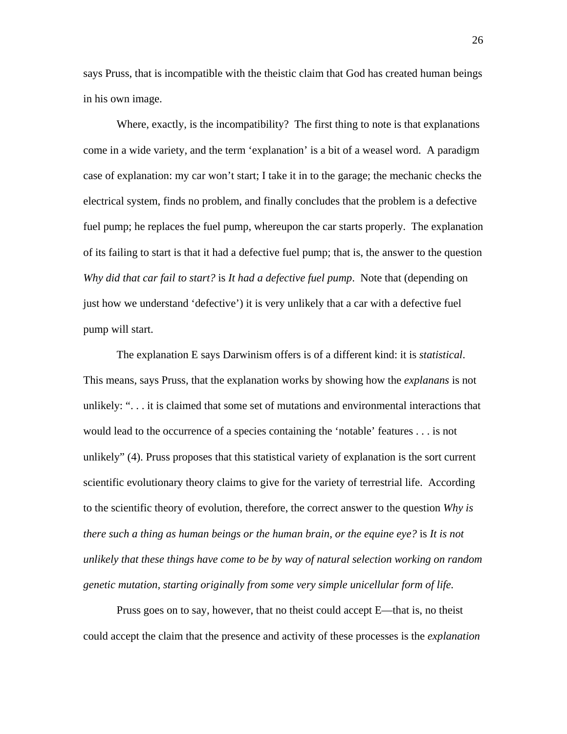says Pruss, that is incompatible with the theistic claim that God has created human beings in his own image.

 Where, exactly, is the incompatibility? The first thing to note is that explanations come in a wide variety, and the term 'explanation' is a bit of a weasel word. A paradigm case of explanation: my car won't start; I take it in to the garage; the mechanic checks the electrical system, finds no problem, and finally concludes that the problem is a defective fuel pump; he replaces the fuel pump, whereupon the car starts properly. The explanation of its failing to start is that it had a defective fuel pump; that is, the answer to the question *Why did that car fail to start?* is *It had a defective fuel pump*. Note that (depending on just how we understand 'defective') it is very unlikely that a car with a defective fuel pump will start.

 The explanation E says Darwinism offers is of a different kind: it is *statistical*. This means, says Pruss, that the explanation works by showing how the *explanans* is not unlikely: ". . . it is claimed that some set of mutations and environmental interactions that would lead to the occurrence of a species containing the 'notable' features . . . is not unlikely" (4). Pruss proposes that this statistical variety of explanation is the sort current scientific evolutionary theory claims to give for the variety of terrestrial life. According to the scientific theory of evolution, therefore, the correct answer to the question *Why is there such a thing as human beings or the human brain, or the equine eye?* is *It is not unlikely that these things have come to be by way of natural selection working on random genetic mutation, starting originally from some very simple unicellular form of life.*

 Pruss goes on to say, however, that no theist could accept E—that is, no theist could accept the claim that the presence and activity of these processes is the *explanation*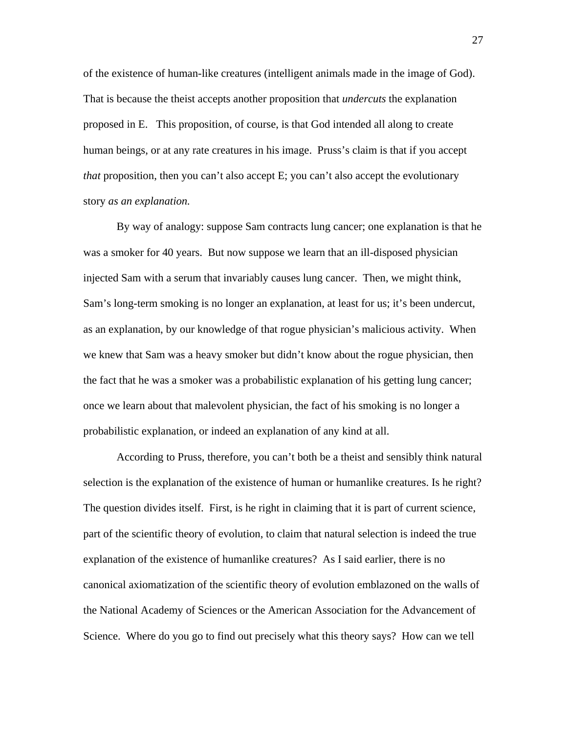of the existence of human-like creatures (intelligent animals made in the image of God). That is because the theist accepts another proposition that *undercuts* the explanation proposed in E. This proposition, of course, is that God intended all along to create human beings, or at any rate creatures in his image. Pruss's claim is that if you accept *that* proposition, then you can't also accept E; you can't also accept the evolutionary story *as an explanation.* 

 By way of analogy: suppose Sam contracts lung cancer; one explanation is that he was a smoker for 40 years. But now suppose we learn that an ill-disposed physician injected Sam with a serum that invariably causes lung cancer. Then, we might think, Sam's long-term smoking is no longer an explanation, at least for us; it's been undercut, as an explanation, by our knowledge of that rogue physician's malicious activity. When we knew that Sam was a heavy smoker but didn't know about the rogue physician, then the fact that he was a smoker was a probabilistic explanation of his getting lung cancer; once we learn about that malevolent physician, the fact of his smoking is no longer a probabilistic explanation, or indeed an explanation of any kind at all.

 According to Pruss, therefore, you can't both be a theist and sensibly think natural selection is the explanation of the existence of human or humanlike creatures. Is he right? The question divides itself. First, is he right in claiming that it is part of current science, part of the scientific theory of evolution, to claim that natural selection is indeed the true explanation of the existence of humanlike creatures? As I said earlier, there is no canonical axiomatization of the scientific theory of evolution emblazoned on the walls of the National Academy of Sciences or the American Association for the Advancement of Science. Where do you go to find out precisely what this theory says? How can we tell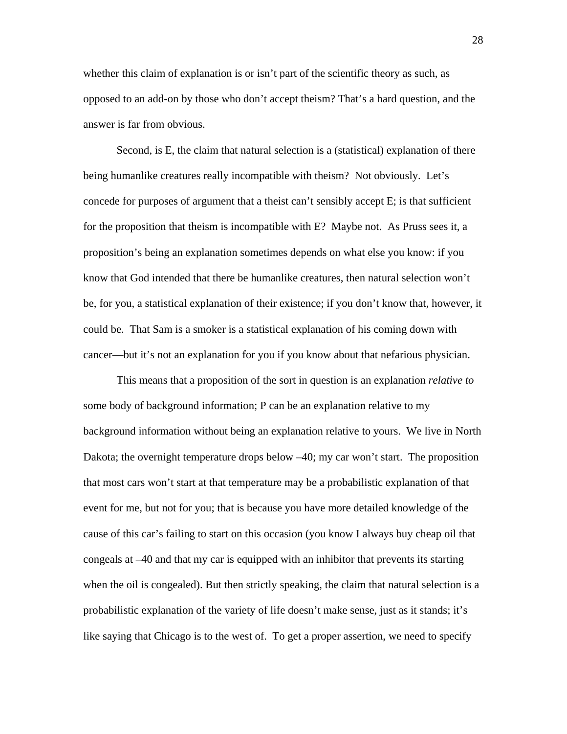whether this claim of explanation is or isn't part of the scientific theory as such, as opposed to an add-on by those who don't accept theism? That's a hard question, and the answer is far from obvious.

 Second, is E, the claim that natural selection is a (statistical) explanation of there being humanlike creatures really incompatible with theism? Not obviously. Let's concede for purposes of argument that a theist can't sensibly accept E; is that sufficient for the proposition that theism is incompatible with E? Maybe not. As Pruss sees it, a proposition's being an explanation sometimes depends on what else you know: if you know that God intended that there be humanlike creatures, then natural selection won't be, for you, a statistical explanation of their existence; if you don't know that, however, it could be. That Sam is a smoker is a statistical explanation of his coming down with cancer—but it's not an explanation for you if you know about that nefarious physician.

 This means that a proposition of the sort in question is an explanation *relative to*  some body of background information; P can be an explanation relative to my background information without being an explanation relative to yours. We live in North Dakota; the overnight temperature drops below -40; my car won't start. The proposition that most cars won't start at that temperature may be a probabilistic explanation of that event for me, but not for you; that is because you have more detailed knowledge of the cause of this car's failing to start on this occasion (you know I always buy cheap oil that congeals at –40 and that my car is equipped with an inhibitor that prevents its starting when the oil is congealed). But then strictly speaking, the claim that natural selection is a probabilistic explanation of the variety of life doesn't make sense, just as it stands; it's like saying that Chicago is to the west of. To get a proper assertion, we need to specify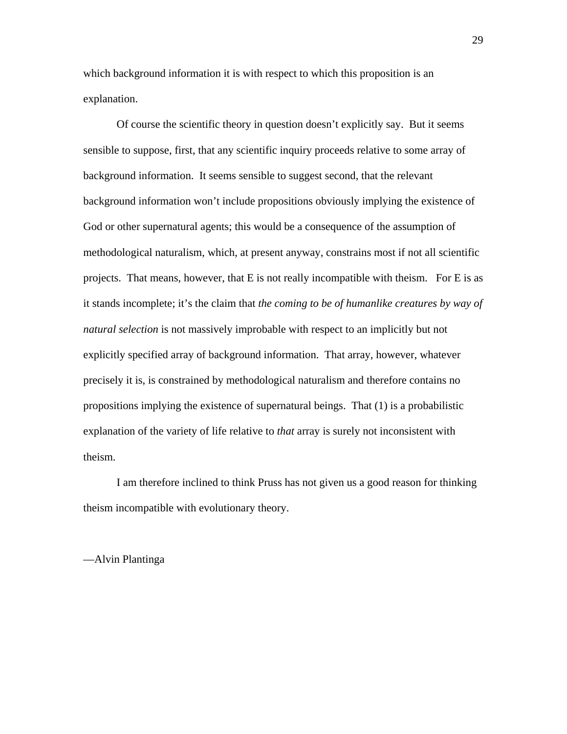which background information it is with respect to which this proposition is an explanation.

 Of course the scientific theory in question doesn't explicitly say. But it seems sensible to suppose, first, that any scientific inquiry proceeds relative to some array of background information. It seems sensible to suggest second, that the relevant background information won't include propositions obviously implying the existence of God or other supernatural agents; this would be a consequence of the assumption of methodological naturalism, which, at present anyway, constrains most if not all scientific projects. That means, however, that  $E$  is not really incompatible with theism. For  $E$  is as it stands incomplete; it's the claim that *the coming to be of humanlike creatures by way of natural selection* is not massively improbable with respect to an implicitly but not explicitly specified array of background information. That array, however, whatever precisely it is, is constrained by methodological naturalism and therefore contains no propositions implying the existence of supernatural beings. That (1) is a probabilistic explanation of the variety of life relative to *that* array is surely not inconsistent with theism.

 I am therefore inclined to think Pruss has not given us a good reason for thinking theism incompatible with evolutionary theory.

—Alvin Plantinga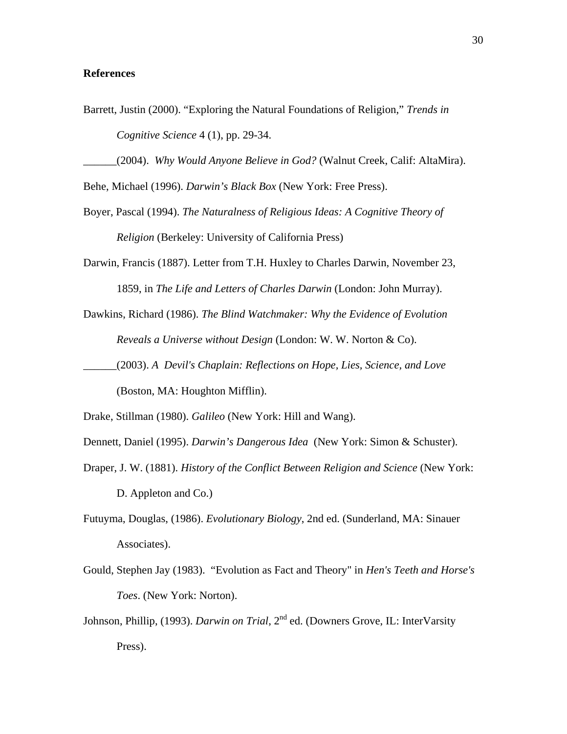## **References**

Barrett, Justin (2000). "Exploring the Natural Foundations of Religion," *Trends in Cognitive Science* 4 (1), pp. 29-34.

\_\_\_\_\_\_(2004). *Why Would Anyone Believe in God?* (Walnut Creek, Calif: AltaMira).

Behe, Michael (1996). *Darwin's Black Box* (New York: Free Press).

- Boyer, Pascal (1994). *The Naturalness of Religious Ideas: A Cognitive Theory of Religion* (Berkeley: University of California Press)
- Darwin, Francis (1887). Letter from T.H. Huxley to Charles Darwin, November 23, 1859, in *The Life and Letters of Charles Darwin* (London: John Murray).
- Dawkins, Richard (1986). *The Blind Watchmaker: Why the Evidence of Evolution Reveals a Universe without Design* (London: W. W. Norton & Co).
- \_\_\_\_\_\_(2003). *A Devil's Chaplain: Reflections on Hope, Lies, Science, and Love* (Boston, MA: Houghton Mifflin).

Drake, Stillman (1980). *Galileo* (New York: Hill and Wang).

- Dennett, Daniel (1995). *Darwin's Dangerous Idea* (New York: Simon & Schuster).
- Draper, J. W. (1881). *History of the Conflict Between Religion and Science* (New York: D. Appleton and Co.)
- Futuyma, Douglas, (1986). *Evolutionary Biology*, 2nd ed. (Sunderland, MA: Sinauer Associates).
- Gould, Stephen Jay (1983). "Evolution as Fact and Theory" in *Hen's Teeth and Horse's Toes*. (New York: Norton).
- Johnson, Phillip, (1993). *Darwin on Trial*, 2<sup>nd</sup> ed. (Downers Grove, IL: InterVarsity Press).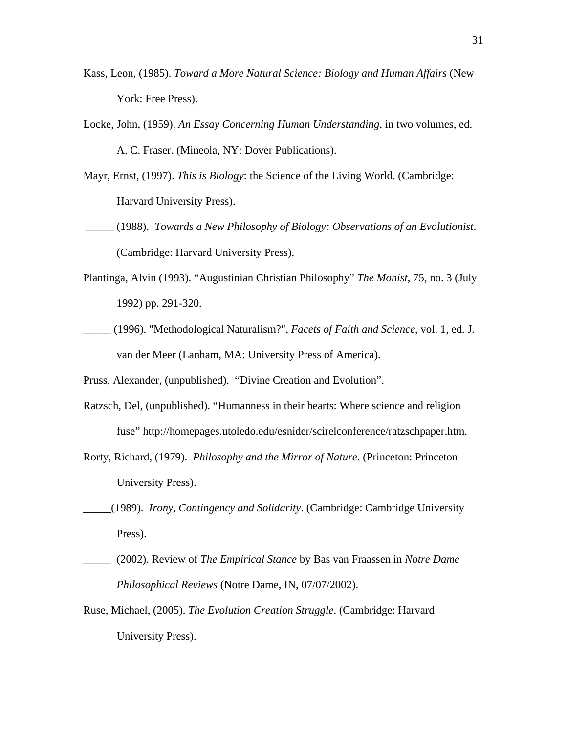- Kass, Leon, (1985). *Toward a More Natural Science: Biology and Human Affairs* (New York: Free Press).
- Locke, John, (1959). *An Essay Concerning Human Understanding*, in two volumes, ed. A. C. Fraser. (Mineola, NY: Dover Publications).
- Mayr, Ernst, (1997). *This is Biology*: the Science of the Living World. (Cambridge: Harvard University Press).
- \_\_\_\_\_ (1988). *Towards a New Philosophy of Biology: Observations of an Evolutionist*. (Cambridge: Harvard University Press).
- Plantinga, Alvin (1993). "Augustinian Christian Philosophy" *The Monist*, 75, no. 3 (July 1992) pp. 291-320.
- \_\_\_\_\_ (1996). "Methodological Naturalism?", *Facets of Faith and Science*, vol. 1, ed. J. van der Meer (Lanham, MA: University Press of America).

Pruss, Alexander, (unpublished). "Divine Creation and Evolution".

- Ratzsch, Del, (unpublished). "Humanness in their hearts: Where science and religion fuse" http://homepages.utoledo.edu/esnider/scirelconference/ratzschpaper.htm.
- Rorty, Richard, (1979). *Philosophy and the Mirror of Nature*. (Princeton: Princeton University Press).
- \_\_\_\_\_(1989). *Irony, Contingency and Solidarity*. (Cambridge: Cambridge University Press).
- \_\_\_\_\_ (2002). Review of *The Empirical Stance* by Bas van Fraassen in *Notre Dame Philosophical Reviews* (Notre Dame, IN, 07/07/2002).
- Ruse, Michael, (2005). *The Evolution Creation Struggle*. (Cambridge: Harvard University Press).